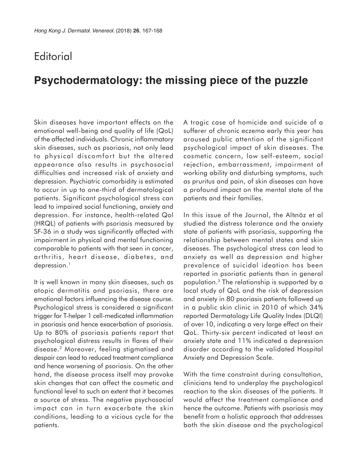## **Editorial**

## **Psychodermatology: the missing piece of the puzzle**

Skin diseases have important effects on the emotional well-being and quality of life (QoL) of the affected individuals. Chronic inflammatory skin diseases, such as psoriasis, not only lead to physical discomfort but the altered appearance also results in psychosocial difficulties and increased risk of anxiety and depression. Psychiatric comorbidity is estimated to occur in up to one-third of dermatological patients. Significant psychological stress can lead to impaired social functioning, anxiety and depression. For instance, health-related Qol (HRQL) of patients with psoriasis measured by SF-36 in a study was significantly affected with impairment in physical and mental functioning comparable to patients with that seen in cancer, arthritis, heart disease, diabetes, and depression.<sup>1</sup>

It is well known in many skin diseases, such as atopic dermatitis and psoriasis, there are emotional factors influencing the disease course. Psychological stress is considered a significant trigger for T-helper 1 cell-medicated inflammation in psoriasis and hence exacerbation of psoriasis. Up to 80% of psoriasis patients report that psychological distress results in flares of their disease.2 Moreover, feeling stigmatised and despair can lead to reduced treatment compliance and hence worsening of psoriasis. On the other hand, the disease process itself may provoke skin changes that can affect the cosmetic and functional level to such an extent that it becomes a source of stress. The negative psychosocial impact can in turn exacerbate the skin conditions, leading to a vicious cycle for the patients.

A tragic case of homicide and suicide of a sufferer of chronic eczema early this year has aroused public attention of the significant psychological impact of skin diseases. The cosmetic concern, low self-esteem, social rejection, embarrassment, impairment of working ability and disturbing symptoms, such as pruritus and pain, of skin diseases can have a profound impact on the mental state of the patients and their families.

In this issue of the Journal, the Altinöz et al studied the distress tolerance and the anxiety state of patients with psoriasis, supporting the relationship between mental states and skin diseases. The psychological stress can lead to anxiety as well as depression and higher prevalence of suicidal ideation has been reported in psoriatic patients than in general population.3 The relationship is supported by a local study of QoL and the risk of depression and anxiety in 80 psoriasis patients followed up in a public skin clinic in 2010 of which 34% reported Dermatology Life Quality Index (DLQI) of over 10, indicating a very large effect on their QoL. Thirty-six percent indicated at least an anxiety state and 11% indicated a depression disorder according to the validated Hospital Anxiety and Depression Scale.

With the time constraint during consultation, clinicians tend to underplay the psychological reaction to the skin diseases of the patients. It would affect the treatment compliance and hence the outcome. Patients with psoriasis may benefit from a holistic approach that addresses both the skin disease and the psychological